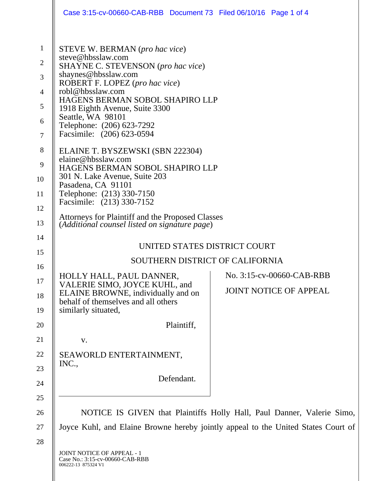|                                                                                             | Case 3:15-cv-00660-CAB-RBB Document 73 Filed 06/10/16 Page 1 of 4                                                                                                                                                                                                                                                                                                                                                                                                                                                  |
|---------------------------------------------------------------------------------------------|--------------------------------------------------------------------------------------------------------------------------------------------------------------------------------------------------------------------------------------------------------------------------------------------------------------------------------------------------------------------------------------------------------------------------------------------------------------------------------------------------------------------|
| $\mathbf{1}$<br>$\sqrt{2}$<br>3<br>$\overline{4}$<br>5<br>6<br>$\tau$<br>8<br>9<br>10<br>11 | <b>STEVE W. BERMAN</b> (pro hac vice)<br>steve@hbsslaw.com<br>SHAYNE C. STEVENSON (pro hac vice)<br>shaynes@hbsslaw.com<br>ROBERT F. LOPEZ (pro hac vice)<br>robl@hbsslaw.com<br>HAGENS BERMAN SOBOL SHAPIRO LLP<br>1918 Eighth Avenue, Suite 3300<br>Seattle, WA 98101<br>Telephone: (206) 623-7292<br>Facsimile: (206) 623-0594<br>ELAINE T. BYSZEWSKI (SBN 222304)<br>elaine@hbsslaw.com<br>HAGENS BERMAN SOBOL SHAPIRO LLP<br>301 N. Lake Avenue, Suite 203<br>Pasadena, CA 91101<br>Telephone: (213) 330-7150 |
| 12<br>13                                                                                    | Facsimile: (213) 330-7152<br>Attorneys for Plaintiff and the Proposed Classes<br>(Additional counsel listed on signature page)                                                                                                                                                                                                                                                                                                                                                                                     |
| 14<br>15                                                                                    | UNITED STATES DISTRICT COURT                                                                                                                                                                                                                                                                                                                                                                                                                                                                                       |
| 16                                                                                          | SOUTHERN DISTRICT OF CALIFORNIA                                                                                                                                                                                                                                                                                                                                                                                                                                                                                    |
| 17<br>18<br>19                                                                              | No. 3:15-cv-00660-CAB-RBB<br>HOLLY HALL, PAUL DANNER,<br>VALERIE SIMO, JOYCE KUHL, and<br><b>JOINT NOTICE OF APPEAL</b><br>ELAINE BROWNE, individually and on<br>behalf of themselves and all others<br>similarly situated,                                                                                                                                                                                                                                                                                        |
| 20                                                                                          | Plaintiff,                                                                                                                                                                                                                                                                                                                                                                                                                                                                                                         |
| 21                                                                                          | V.                                                                                                                                                                                                                                                                                                                                                                                                                                                                                                                 |
| 22                                                                                          | SEAWORLD ENTERTAINMENT,                                                                                                                                                                                                                                                                                                                                                                                                                                                                                            |
| 23                                                                                          | INC.,                                                                                                                                                                                                                                                                                                                                                                                                                                                                                                              |
| 24                                                                                          | Defendant.                                                                                                                                                                                                                                                                                                                                                                                                                                                                                                         |
| 25                                                                                          |                                                                                                                                                                                                                                                                                                                                                                                                                                                                                                                    |
| 26                                                                                          | NOTICE IS GIVEN that Plaintiffs Holly Hall, Paul Danner, Valerie Simo,                                                                                                                                                                                                                                                                                                                                                                                                                                             |
| 27                                                                                          | Joyce Kuhl, and Elaine Browne hereby jointly appeal to the United States Court of                                                                                                                                                                                                                                                                                                                                                                                                                                  |
| 28                                                                                          |                                                                                                                                                                                                                                                                                                                                                                                                                                                                                                                    |
|                                                                                             | JOINT NOTICE OF APPEAL - 1<br>Case No.: 3:15-cv-00660-CAB-RBB<br>006222-13 875324 V1                                                                                                                                                                                                                                                                                                                                                                                                                               |

H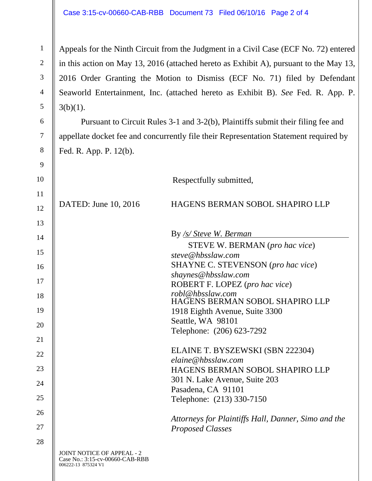1

2

3

4

5

6

7

8

9

Appeals for the Ninth Circuit from the Judgment in a Civil Case (ECF No. 72) entered in this action on May 13, 2016 (attached hereto as Exhibit A), pursuant to the May 13, 2016 Order Granting the Motion to Dismiss (ECF No. 71) filed by Defendant Seaworld Entertainment, Inc. (attached hereto as Exhibit B). *See* Fed. R. App. P.  $3(b)(1)$ .

Pursuant to Circuit Rules 3-1 and 3-2(b), Plaintiffs submit their filing fee and appellate docket fee and concurrently file their Representation Statement required by Fed. R. App. P. 12(b).

| 10 |                                                                                             | Respectfully submitted,                                    |
|----|---------------------------------------------------------------------------------------------|------------------------------------------------------------|
| 11 |                                                                                             |                                                            |
| 12 | DATED: June 10, 2016                                                                        | HAGENS BERMAN SOBOL SHAPIRO LLP                            |
| 13 |                                                                                             |                                                            |
| 14 |                                                                                             | By /s/ Steve W. Berman                                     |
| 15 |                                                                                             | <b>STEVE W. BERMAN</b> (pro hac vice)<br>steve@hbsslaw.com |
| 16 |                                                                                             | SHAYNE C. STEVENSON (pro hac vice)                         |
| 17 |                                                                                             | shaynes@hbsslaw.com<br>ROBERT F. LOPEZ (pro hac vice)      |
| 18 |                                                                                             | robl@hbsslaw.com<br>HAGENS BERMAN SOBOL SHAPIRO LLP        |
| 19 |                                                                                             | 1918 Eighth Avenue, Suite 3300                             |
| 20 |                                                                                             | Seattle, WA 98101                                          |
| 21 |                                                                                             | Telephone: (206) 623-7292                                  |
|    |                                                                                             | ELAINE T. BYSZEWSKI (SBN 222304)                           |
| 22 |                                                                                             | elaine@hbsslaw.com                                         |
| 23 |                                                                                             | HAGENS BERMAN SOBOL SHAPIRO LLP                            |
| 24 |                                                                                             | 301 N. Lake Avenue, Suite 203                              |
| 25 |                                                                                             | Pasadena, CA 91101                                         |
|    |                                                                                             | Telephone: (213) 330-7150                                  |
| 26 |                                                                                             | Attorneys for Plaintiffs Hall, Danner, Simo and the        |
| 27 |                                                                                             | <b>Proposed Classes</b>                                    |
| 28 |                                                                                             |                                                            |
|    | <b>JOINT NOTICE OF APPEAL - 2</b><br>Case No.: 3:15-cv-00660-CAB-RBB<br>006222-13 875324 V1 |                                                            |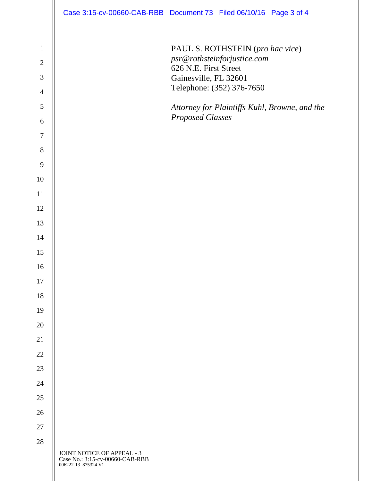|                                                                | Case 3:15-cv-00660-CAB-RBB Document 73 Filed 06/10/16 Page 3 of 4                    |                                                |                                                                                              |                                               |
|----------------------------------------------------------------|--------------------------------------------------------------------------------------|------------------------------------------------|----------------------------------------------------------------------------------------------|-----------------------------------------------|
| $\mathbf{1}$<br>$\sqrt{2}$<br>$\mathfrak{Z}$<br>$\overline{4}$ |                                                                                      | 626 N.E. First Street<br>Gainesville, FL 32601 | PAUL S. ROTHSTEIN (pro hac vice)<br>psr@rothsteinforjustice.com<br>Telephone: (352) 376-7650 |                                               |
| $\mathfrak{S}$<br>6                                            |                                                                                      | <b>Proposed Classes</b>                        |                                                                                              | Attorney for Plaintiffs Kuhl, Browne, and the |
| $\overline{7}$                                                 |                                                                                      |                                                |                                                                                              |                                               |
| 8                                                              |                                                                                      |                                                |                                                                                              |                                               |
| $\overline{9}$                                                 |                                                                                      |                                                |                                                                                              |                                               |
| 10                                                             |                                                                                      |                                                |                                                                                              |                                               |
| 11                                                             |                                                                                      |                                                |                                                                                              |                                               |
| 12                                                             |                                                                                      |                                                |                                                                                              |                                               |
| 13                                                             |                                                                                      |                                                |                                                                                              |                                               |
| 14                                                             |                                                                                      |                                                |                                                                                              |                                               |
| 15                                                             |                                                                                      |                                                |                                                                                              |                                               |
| 16                                                             |                                                                                      |                                                |                                                                                              |                                               |
| 17                                                             |                                                                                      |                                                |                                                                                              |                                               |
| 18                                                             |                                                                                      |                                                |                                                                                              |                                               |
| 19                                                             |                                                                                      |                                                |                                                                                              |                                               |
| 20                                                             |                                                                                      |                                                |                                                                                              |                                               |
| 21                                                             |                                                                                      |                                                |                                                                                              |                                               |
| 22                                                             |                                                                                      |                                                |                                                                                              |                                               |
| 23                                                             |                                                                                      |                                                |                                                                                              |                                               |
| 24                                                             |                                                                                      |                                                |                                                                                              |                                               |
| 25                                                             |                                                                                      |                                                |                                                                                              |                                               |
| 26                                                             |                                                                                      |                                                |                                                                                              |                                               |
| 27                                                             |                                                                                      |                                                |                                                                                              |                                               |
| 28                                                             |                                                                                      |                                                |                                                                                              |                                               |
|                                                                | JOINT NOTICE OF APPEAL - 3<br>Case No.: 3:15-cv-00660-CAB-RBB<br>006222-13 875324 V1 |                                                |                                                                                              |                                               |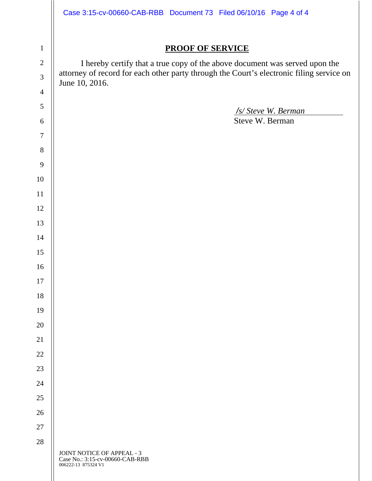|                  | Case 3:15-cv-00660-CAB-RBB Document 73 Filed 06/10/16 Page 4 of 4                                          |  |  |  |  |
|------------------|------------------------------------------------------------------------------------------------------------|--|--|--|--|
|                  |                                                                                                            |  |  |  |  |
| $\mathbf 1$      | <b>PROOF OF SERVICE</b>                                                                                    |  |  |  |  |
| $\overline{2}$   | I hereby certify that a true copy of the above document was served upon the                                |  |  |  |  |
| $\overline{3}$   | attorney of record for each other party through the Court's electronic filing service on<br>June 10, 2016. |  |  |  |  |
| $\overline{4}$   |                                                                                                            |  |  |  |  |
| 5                |                                                                                                            |  |  |  |  |
| $\boldsymbol{6}$ | <i><u>/s/ Steve W. Berman</u></i><br>Steve W. Berman                                                       |  |  |  |  |
| $\boldsymbol{7}$ |                                                                                                            |  |  |  |  |
| $8\,$            |                                                                                                            |  |  |  |  |
| 9                |                                                                                                            |  |  |  |  |
| 10               |                                                                                                            |  |  |  |  |
| 11               |                                                                                                            |  |  |  |  |
| 12               |                                                                                                            |  |  |  |  |
| 13               |                                                                                                            |  |  |  |  |
| 14               |                                                                                                            |  |  |  |  |
| 15               |                                                                                                            |  |  |  |  |
| 16               |                                                                                                            |  |  |  |  |
| 17               |                                                                                                            |  |  |  |  |
| 18               |                                                                                                            |  |  |  |  |
| 19               |                                                                                                            |  |  |  |  |
| 20               |                                                                                                            |  |  |  |  |
| 21               |                                                                                                            |  |  |  |  |
| 22               |                                                                                                            |  |  |  |  |
| 23               |                                                                                                            |  |  |  |  |
| 24               |                                                                                                            |  |  |  |  |
| 25               |                                                                                                            |  |  |  |  |
| 26               |                                                                                                            |  |  |  |  |
| 27               |                                                                                                            |  |  |  |  |
| $28\,$           | JOINT NOTICE OF APPEAL - 3<br>Case No.: 3:15-cv-00660-CAB-RBB<br>006222-13 875324 V1                       |  |  |  |  |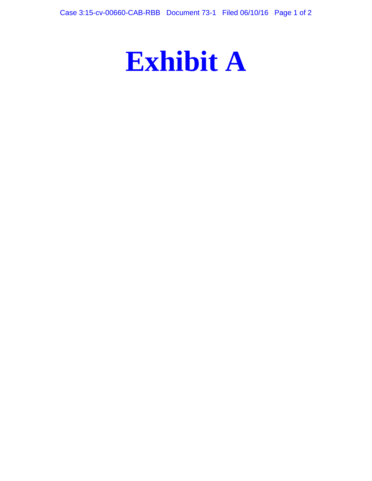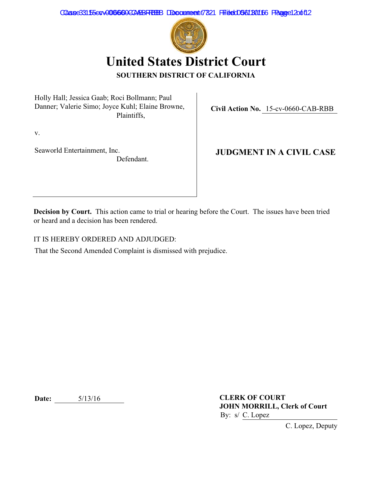Case33155evv006660CARBFRBB Document 7821 Filed 056130166 Fage 2 2 of 12



**United States District Court SOUTHERN DISTRICT OF CALIFORNIA**

Holly Hall; Jessica Gaab; Roci Bollmann; Paul Danner; Valerie Simo; Joyce Kuhl; Elaine Browne, Plaintiffs,

**Civil Action No.** 15-cv-0660-CAB-RBB

v.

Seaworld Entertainment, Inc. Defendant.

**JUDGMENT IN A CIVIL CASE**

**Decision by Court.** This action came to trial or hearing before the Court. The issues have been tried or heard and a decision has been rendered.

IT IS HEREBY ORDERED AND ADJUDGED:

That the Second Amended Complaint is dismissed with prejudice.

**Date:** 5/13/16

**CLERK OF COURT JOHN MORRILL, Clerk of Court** By: s/ C. Lopez

C. Lopez, Deputy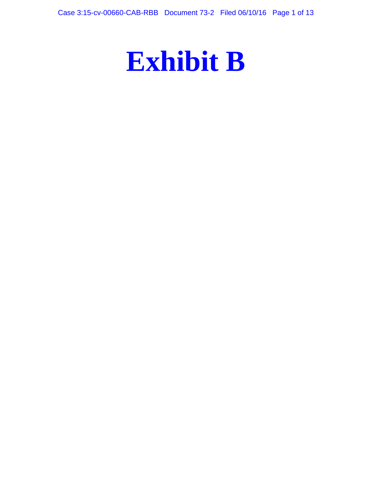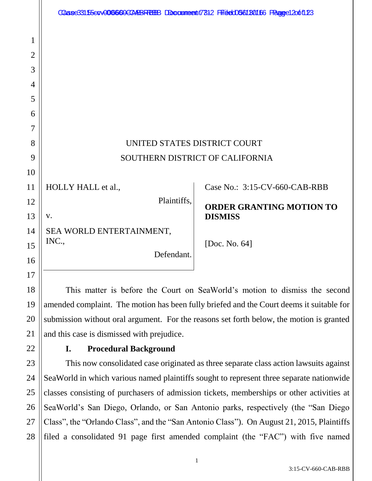|                | Caase33155e0V006660ECAABFFBBB DDocumeent7812 FFitedO561B0166 FRagee12o6f123 |                                                                            |
|----------------|-----------------------------------------------------------------------------|----------------------------------------------------------------------------|
|                |                                                                             |                                                                            |
| 1              |                                                                             |                                                                            |
| $\overline{2}$ |                                                                             |                                                                            |
| 3              |                                                                             |                                                                            |
| 4              |                                                                             |                                                                            |
| 5              |                                                                             |                                                                            |
| 6              |                                                                             |                                                                            |
| 7              |                                                                             |                                                                            |
| 8              | UNITED STATES DISTRICT COURT                                                |                                                                            |
| 9              |                                                                             | SOUTHERN DISTRICT OF CALIFORNIA                                            |
| 10             |                                                                             |                                                                            |
| 11             | HOLLY HALL et al.,                                                          | Case No.: 3:15-CV-660-CAB-RBB                                              |
| 12             | Plaintiffs,                                                                 | <b>ORDER GRANTING MOTION TO</b>                                            |
| 13             | V.                                                                          | <b>DISMISS</b>                                                             |
| 14             | SEA WORLD ENTERTAINMENT,                                                    |                                                                            |
| 15             | INC.,                                                                       | [Doc. No. 64]                                                              |
| 16             | Defendant.                                                                  |                                                                            |
| 17             |                                                                             |                                                                            |
| 18             |                                                                             | This matter is before the Court on SeaWorld's motion to dismiss the second |

amended complaint. The motion has been fully briefed and the Court deems it suitable for submission without oral argument. For the reasons set forth below, the motion is granted and this case is dismissed with prejudice.

22

19

20

21

27

# **I. Procedural Background**

23 24 25 26 28 This now consolidated case originated as three separate class action lawsuits against SeaWorld in which various named plaintiffs sought to represent three separate nationwide classes consisting of purchasers of admission tickets, memberships or other activities at SeaWorld's San Diego, Orlando, or San Antonio parks, respectively (the "San Diego Class", the "Orlando Class", and the "San Antonio Class"). On August 21, 2015, Plaintiffs filed a consolidated 91 page first amended complaint (the "FAC") with five named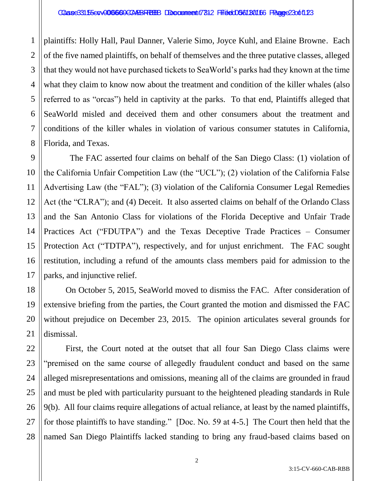plaintiffs: Holly Hall, Paul Danner, Valerie Simo, Joyce Kuhl, and Elaine Browne. Each of the five named plaintiffs, on behalf of themselves and the three putative classes, alleged that they would not have purchased tickets to SeaWorld's parks had they known at the time what they claim to know now about the treatment and condition of the killer whales (also referred to as "orcas") held in captivity at the parks. To that end, Plaintiffs alleged that SeaWorld misled and deceived them and other consumers about the treatment and conditions of the killer whales in violation of various consumer statutes in California, Florida, and Texas.

 The FAC asserted four claims on behalf of the San Diego Class: (1) violation of the California Unfair Competition Law (the "UCL"); (2) violation of the California False Advertising Law (the "FAL"); (3) violation of the California Consumer Legal Remedies Act (the "CLRA"); and (4) Deceit. It also asserted claims on behalf of the Orlando Class and the San Antonio Class for violations of the Florida Deceptive and Unfair Trade Practices Act ("FDUTPA") and the Texas Deceptive Trade Practices – Consumer Protection Act ("TDTPA"), respectively, and for unjust enrichment. The FAC sought restitution, including a refund of the amounts class members paid for admission to the parks, and injunctive relief.

On October 5, 2015, SeaWorld moved to dismiss the FAC. After consideration of extensive briefing from the parties, the Court granted the motion and dismissed the FAC without prejudice on December 23, 2015. The opinion articulates several grounds for dismissal.

First, the Court noted at the outset that all four San Diego Class claims were "premised on the same course of allegedly fraudulent conduct and based on the same alleged misrepresentations and omissions, meaning all of the claims are grounded in fraud and must be pled with particularity pursuant to the heightened pleading standards in Rule 9(b). All four claims require allegations of actual reliance, at least by the named plaintiffs, for those plaintiffs to have standing." [Doc. No. 59 at 4-5.] The Court then held that the named San Diego Plaintiffs lacked standing to bring any fraud-based claims based on

1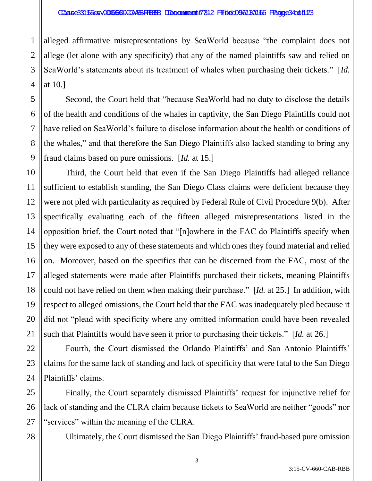### Caase33155e0v006660ECARBREBB Doccument 7312 Filitec056180166 Paaree34oft123

alleged affirmative misrepresentations by SeaWorld because "the complaint does not allege (let alone with any specificity) that any of the named plaintiffs saw and relied on SeaWorld's statements about its treatment of whales when purchasing their tickets." [*Id.* at 10.]

Second, the Court held that "because SeaWorld had no duty to disclose the details of the health and conditions of the whales in captivity, the San Diego Plaintiffs could not have relied on SeaWorld's failure to disclose information about the health or conditions of the whales," and that therefore the San Diego Plaintiffs also lacked standing to bring any fraud claims based on pure omissions. [*Id.* at 15.]

Third, the Court held that even if the San Diego Plaintiffs had alleged reliance sufficient to establish standing, the San Diego Class claims were deficient because they were not pled with particularity as required by Federal Rule of Civil Procedure 9(b). After specifically evaluating each of the fifteen alleged misrepresentations listed in the opposition brief, the Court noted that "[n]owhere in the FAC do Plaintiffs specify when they were exposed to any of these statements and which ones they found material and relied on. Moreover, based on the specifics that can be discerned from the FAC, most of the alleged statements were made after Plaintiffs purchased their tickets, meaning Plaintiffs could not have relied on them when making their purchase." [*Id.* at 25.] In addition, with respect to alleged omissions, the Court held that the FAC was inadequately pled because it did not "plead with specificity where any omitted information could have been revealed such that Plaintiffs would have seen it prior to purchasing their tickets." [*Id.* at 26.]

Fourth, the Court dismissed the Orlando Plaintiffs' and San Antonio Plaintiffs' claims for the same lack of standing and lack of specificity that were fatal to the San Diego Plaintiffs' claims.

Finally, the Court separately dismissed Plaintiffs' request for injunctive relief for lack of standing and the CLRA claim because tickets to SeaWorld are neither "goods" nor "services" within the meaning of the CLRA.

28

1

2

3

4

5

6

7

8

9

10

11

12

13

14

15

16

17

18

19

20

21

22

23

24

25

26

27

Ultimately, the Court dismissed the San Diego Plaintiffs' fraud-based pure omission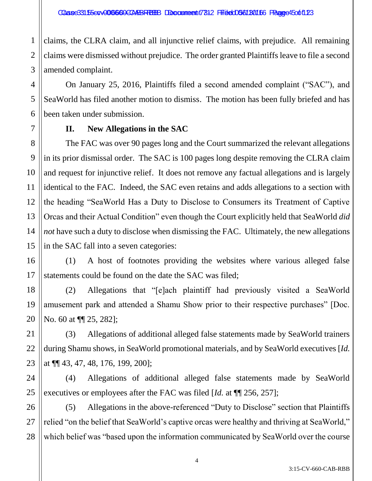1 claims, the CLRA claim, and all injunctive relief claims, with prejudice. All remaining claims were dismissed without prejudice. The order granted Plaintiffs leave to file a second amended complaint.

On January 25, 2016, Plaintiffs filed a second amended complaint ("SAC"), and SeaWorld has filed another motion to dismiss. The motion has been fully briefed and has been taken under submission.

# **II. New Allegations in the SAC**

The FAC was over 90 pages long and the Court summarized the relevant allegations in its prior dismissal order. The SAC is 100 pages long despite removing the CLRA claim and request for injunctive relief. It does not remove any factual allegations and is largely identical to the FAC. Indeed, the SAC even retains and adds allegations to a section with the heading "SeaWorld Has a Duty to Disclose to Consumers its Treatment of Captive Orcas and their Actual Condition" even though the Court explicitly held that SeaWorld *did not* have such a duty to disclose when dismissing the FAC. Ultimately, the new allegations in the SAC fall into a seven categories:

(1) A host of footnotes providing the websites where various alleged false statements could be found on the date the SAC was filed;

(2) Allegations that "[e]ach plaintiff had previously visited a SeaWorld amusement park and attended a Shamu Show prior to their respective purchases" [Doc. No. 60 at  $\P$ [25, 282];

(3) Allegations of additional alleged false statements made by SeaWorld trainers during Shamu shows, in SeaWorld promotional materials, and by SeaWorld executives [*Id.* at ¶¶ 43, 47, 48, 176, 199, 200];

(4) Allegations of additional alleged false statements made by SeaWorld executives or employees after the FAC was filed [*Id.* at ¶¶ 256, 257];

(5) Allegations in the above-referenced "Duty to Disclose" section that Plaintiffs relied "on the belief that SeaWorld's captive orcas were healthy and thriving at SeaWorld," which belief was "based upon the information communicated by SeaWorld over the course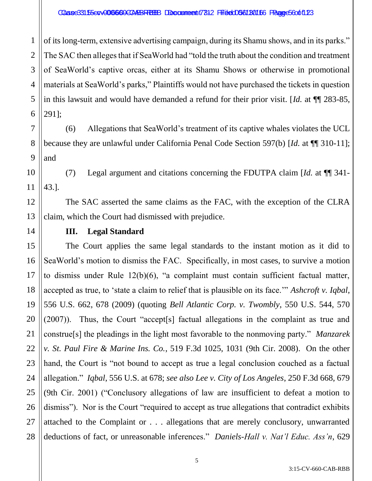### Caase33155e0v006660ECARBREBB Doccument 7312 Filited 056180166 Paanee56001123

1 2 3 4 5 6 of its long-term, extensive advertising campaign, during its Shamu shows, and in its parks." The SAC then alleges that if SeaWorld had "told the truth about the condition and treatment of SeaWorld's captive orcas, either at its Shamu Shows or otherwise in promotional materials at SeaWorld's parks," Plaintiffs would not have purchased the tickets in question in this lawsuit and would have demanded a refund for their prior visit. [*Id.* at ¶¶ 283-85, 291];

7 8 9 (6) Allegations that SeaWorld's treatment of its captive whales violates the UCL because they are unlawful under California Penal Code Section 597(b) [*Id.* at ¶¶ 310-11]; and

10 11 (7) Legal argument and citations concerning the FDUTPA claim [*Id.* at ¶¶ 341- 43.].

12 13 The SAC asserted the same claims as the FAC, with the exception of the CLRA claim, which the Court had dismissed with prejudice.

14

21

# **III. Legal Standard**

15 16 17 18 19 20 22 23 24 25 26 27 28 The Court applies the same legal standards to the instant motion as it did to SeaWorld's motion to dismiss the FAC. Specifically, in most cases, to survive a motion to dismiss under Rule 12(b)(6), "a complaint must contain sufficient factual matter, accepted as true, to 'state a claim to relief that is plausible on its face.'" *Ashcroft v. Iqbal*, 556 U.S. 662, 678 (2009) (quoting *Bell Atlantic Corp. v. Twombly*, 550 U.S. 544, 570 (2007)). Thus, the Court "accept[s] factual allegations in the complaint as true and construe[s] the pleadings in the light most favorable to the nonmoving party." *Manzarek v. St. Paul Fire & Marine Ins. Co.*, 519 F.3d 1025, 1031 (9th Cir. 2008). On the other hand, the Court is "not bound to accept as true a legal conclusion couched as a factual allegation." *Iqbal*, 556 U.S. at 678; *see also Lee v. City of Los Angeles*, 250 F.3d 668, 679 (9th Cir. 2001) ("Conclusory allegations of law are insufficient to defeat a motion to dismiss"). Nor is the Court "required to accept as true allegations that contradict exhibits attached to the Complaint or . . . allegations that are merely conclusory, unwarranted deductions of fact, or unreasonable inferences." *Daniels-Hall v. Nat'l Educ. Ass'n*, 629

3:15-CV-660-CAB-RBB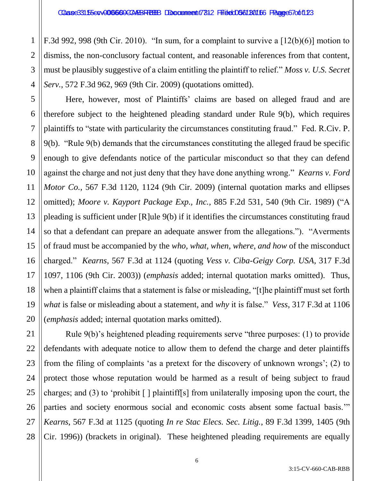1

2

5

7

8

9

10

11

12

13

14

15

16

17

18

19

3 4 F.3d 992, 998 (9th Cir. 2010). "In sum, for a complaint to survive a  $[12(b)(6)]$  motion to dismiss, the non-conclusory factual content, and reasonable inferences from that content, must be plausibly suggestive of a claim entitling the plaintiff to relief." *Moss v. U.S. Secret Serv.*, 572 F.3d 962, 969 (9th Cir. 2009) (quotations omitted).

6 20 Here, however, most of Plaintiffs' claims are based on alleged fraud and are therefore subject to the heightened pleading standard under Rule 9(b), which requires plaintiffs to "state with particularity the circumstances constituting fraud." Fed. R.Civ. P. 9(b). "Rule 9(b) demands that the circumstances constituting the alleged fraud be specific enough to give defendants notice of the particular misconduct so that they can defend against the charge and not just deny that they have done anything wrong." *Kearns v. Ford Motor Co.*, 567 F.3d 1120, 1124 (9th Cir. 2009) (internal quotation marks and ellipses omitted); *Moore v. Kayport Package Exp., Inc.*, 885 F.2d 531, 540 (9th Cir. 1989) ("A pleading is sufficient under [R]ule 9(b) if it identifies the circumstances constituting fraud so that a defendant can prepare an adequate answer from the allegations."). "Averments of fraud must be accompanied by the *who, what, when, where, and how* of the misconduct charged." *Kearns*, 567 F.3d at 1124 (quoting *Vess v. Ciba-Geigy Corp. USA*, 317 F.3d 1097, 1106 (9th Cir. 2003)) (*emphasis* added; internal quotation marks omitted). Thus, when a plaintiff claims that a statement is false or misleading, "[t]he plaintiff must set forth *what* is false or misleading about a statement, and *why* it is false." *Vess*, 317 F.3d at 1106 (*emphasis* added; internal quotation marks omitted).

21 22 23 24 25 26 27 28 Rule 9(b)'s heightened pleading requirements serve "three purposes: (1) to provide defendants with adequate notice to allow them to defend the charge and deter plaintiffs from the filing of complaints 'as a pretext for the discovery of unknown wrongs'; (2) to protect those whose reputation would be harmed as a result of being subject to fraud charges; and (3) to 'prohibit  $\lceil \cdot \rceil$  plaintiff[s] from unilaterally imposing upon the court, the parties and society enormous social and economic costs absent some factual basis.'" *Kearns*, 567 F.3d at 1125 (quoting *In re Stac Elecs. Sec. Litig.*, 89 F.3d 1399, 1405 (9th Cir. 1996)) (brackets in original). These heightened pleading requirements are equally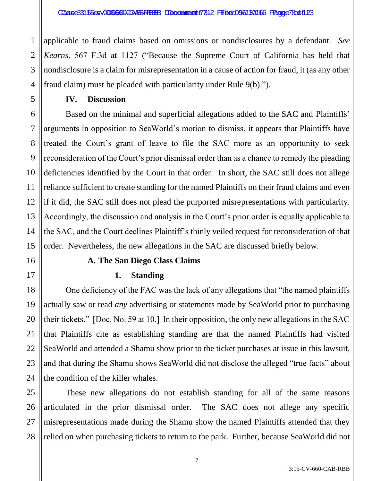2 applicable to fraud claims based on omissions or nondisclosures by a defendant. *See Kearns*, 567 F.3d at 1127 ("Because the Supreme Court of California has held that nondisclosure is a claim for misrepresentation in a cause of action for fraud, it (as any other fraud claim) must be pleaded with particularity under Rule 9(b).").

**IV. Discussion**

Based on the minimal and superficial allegations added to the SAC and Plaintiffs' arguments in opposition to SeaWorld's motion to dismiss, it appears that Plaintiffs have treated the Court's grant of leave to file the SAC more as an opportunity to seek reconsideration of the Court's prior dismissal order than as a chance to remedy the pleading deficiencies identified by the Court in that order. In short, the SAC still does not allege reliance sufficient to create standing for the named Plaintiffs on their fraud claims and even if it did, the SAC still does not plead the purported misrepresentations with particularity. Accordingly, the discussion and analysis in the Court's prior order is equally applicable to the SAC, and the Court declines Plaintiff's thinly veiled request for reconsideration of that order. Nevertheless, the new allegations in the SAC are discussed briefly below.

# **A. The San Diego Class Claims**

# **1. Standing**

One deficiency of the FAC was the lack of any allegations that "the named plaintiffs actually saw or read *any* advertising or statements made by SeaWorld prior to purchasing their tickets." [Doc. No. 59 at 10.] In their opposition, the only new allegations in the SAC that Plaintiffs cite as establishing standing are that the named Plaintiffs had visited SeaWorld and attended a Shamu show prior to the ticket purchases at issue in this lawsuit, and that during the Shamu shows SeaWorld did not disclose the alleged "true facts" about the condition of the killer whales.

These new allegations do not establish standing for all of the same reasons articulated in the prior dismissal order. The SAC does not allege any specific misrepresentations made during the Shamu show the named Plaintiffs attended that they relied on when purchasing tickets to return to the park. Further, because SeaWorld did not

1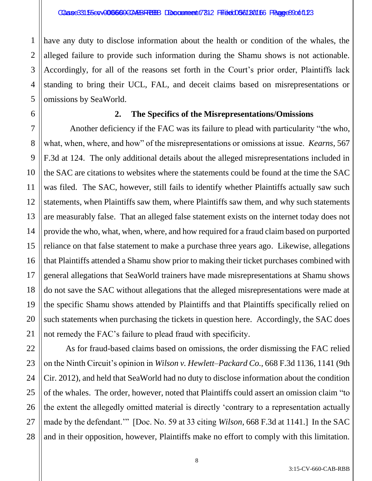2 3 4 5 have any duty to disclose information about the health or condition of the whales, the alleged failure to provide such information during the Shamu shows is not actionable. Accordingly, for all of the reasons set forth in the Court's prior order, Plaintiffs lack standing to bring their UCL, FAL, and deceit claims based on misrepresentations or omissions by SeaWorld.

6

7

8

9

10

11

12

13

14

15

16

17

18

19

20

21

1

# **2. The Specifics of the Misrepresentations/Omissions**

 Another deficiency if the FAC was its failure to plead with particularity "the who, what, when, where, and how" of the misrepresentations or omissions at issue. *Kearns*, 567 F.3d at 124. The only additional details about the alleged misrepresentations included in the SAC are citations to websites where the statements could be found at the time the SAC was filed. The SAC, however, still fails to identify whether Plaintiffs actually saw such statements, when Plaintiffs saw them, where Plaintiffs saw them, and why such statements are measurably false. That an alleged false statement exists on the internet today does not provide the who, what, when, where, and how required for a fraud claim based on purported reliance on that false statement to make a purchase three years ago. Likewise, allegations that Plaintiffs attended a Shamu show prior to making their ticket purchases combined with general allegations that SeaWorld trainers have made misrepresentations at Shamu shows do not save the SAC without allegations that the alleged misrepresentations were made at the specific Shamu shows attended by Plaintiffs and that Plaintiffs specifically relied on such statements when purchasing the tickets in question here. Accordingly, the SAC does not remedy the FAC's failure to plead fraud with specificity.

22 23 24 25 26 27 28 As for fraud-based claims based on omissions, the order dismissing the FAC relied on the Ninth Circuit's opinion in *Wilson v. Hewlett–Packard Co.,* 668 F.3d 1136, 1141 (9th Cir. 2012), and held that SeaWorld had no duty to disclose information about the condition of the whales. The order, however, noted that Plaintiffs could assert an omission claim "to the extent the allegedly omitted material is directly 'contrary to a representation actually made by the defendant.'" [Doc. No. 59 at 33 citing *Wilson*, 668 F.3d at 1141.] In the SAC and in their opposition, however, Plaintiffs make no effort to comply with this limitation.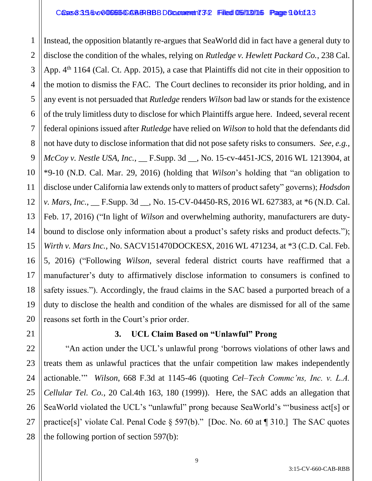3 4 5 6 8 9 10 12 13 14 15 16 17 18 19 20 Instead, the opposition blatantly re-argues that SeaWorld did in fact have a general duty to disclose the condition of the whales, relying on *Rutledge v. Hewlett Packard Co.*, 238 Cal. App. 4<sup>th</sup> 1164 (Cal. Ct. App. 2015), a case that Plaintiffs did not cite in their opposition to the motion to dismiss the FAC. The Court declines to reconsider its prior holding, and in any event is not persuaded that *Rutledge* renders *Wilson* bad law or stands for the existence of the truly limitless duty to disclose for which Plaintiffs argue here. Indeed, several recent federal opinions issued after *Rutledge* have relied on *Wilson* to hold that the defendants did not have duty to disclose information that did not pose safety risks to consumers. *See, e.g., McCoy v. Nestle USA, Inc.*, \_\_ F.Supp. 3d \_\_, No. 15-cv-4451-JCS, 2016 WL 1213904, at \*9-10 (N.D. Cal. Mar. 29, 2016) (holding that *Wilson*'s holding that "an obligation to disclose under California law extends only to matters of product safety" governs); *Hodsdon v. Mars, Inc.*, \_\_ F.Supp. 3d \_\_, No. 15-CV-04450-RS, 2016 WL 627383, at \*6 (N.D. Cal. Feb. 17, 2016) ("In light of *Wilson* and overwhelming authority, manufacturers are dutybound to disclose only information about a product's safety risks and product defects."); *Wirth v. Mars Inc.*, No. SACV151470DOCKESX, 2016 WL 471234, at \*3 (C.D. Cal. Feb. 5, 2016) ("Following *Wilson*, several federal district courts have reaffirmed that a manufacturer's duty to affirmatively disclose information to consumers is confined to safety issues."). Accordingly, the fraud claims in the SAC based a purported breach of a duty to disclose the health and condition of the whales are dismissed for all of the same reasons set forth in the Court's prior order.

# **3. UCL Claim Based on "Unlawful" Prong**

"An action under the UCL's unlawful prong 'borrows violations of other laws and treats them as unlawful practices that the unfair competition law makes independently actionable.'" *Wilson*, 668 F.3d at 1145-46 (quoting *Cel–Tech Commc'ns, Inc. v. L.A. Cellular Tel. Co.*, 20 Cal.4th 163, 180 (1999)). Here, the SAC adds an allegation that SeaWorld violated the UCL's "unlawful" prong because SeaWorld's "'business act[s] or practice[s]' violate Cal. Penal Code § 597(b)." [Doc. No. 60 at ¶ 310.] The SAC quotes the following portion of section 597(b):

21

22

23

24

25

26

27

28

1

2

7

11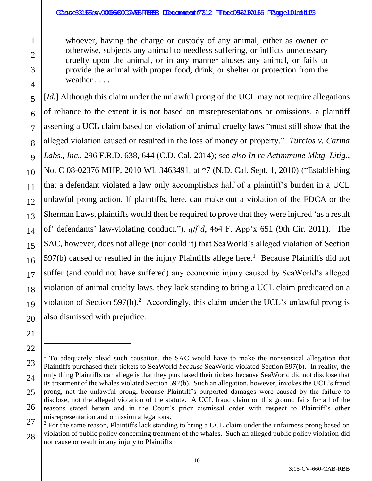## Caase33155evv006660CCARBRRBB Doccumeent 7312 Filied 0561 B0166 Paanee1 01 of 123

whoever, having the charge or custody of any animal, either as owner or otherwise, subjects any animal to needless suffering, or inflicts unnecessary cruelty upon the animal, or in any manner abuses any animal, or fails to provide the animal with proper food, drink, or shelter or protection from the weather . . . .

[*Id.*] Although this claim under the unlawful prong of the UCL may not require allegations of reliance to the extent it is not based on misrepresentations or omissions, a plaintiff asserting a UCL claim based on violation of animal cruelty laws "must still show that the alleged violation caused or resulted in the loss of money or property." *Turcios v. Carma Labs., Inc.*, 296 F.R.D. 638, 644 (C.D. Cal. 2014); *see also In re Actimmune Mktg. Litig.*, No. C 08-02376 MHP, 2010 WL 3463491, at \*7 (N.D. Cal. Sept. 1, 2010) ("Establishing that a defendant violated a law only accomplishes half of a plaintiff's burden in a UCL unlawful prong action. If plaintiffs, here, can make out a violation of the FDCA or the Sherman Laws, plaintiffs would then be required to prove that they were injured 'as a result of' defendants' law-violating conduct."), *aff'd*, 464 F. App'x 651 (9th Cir. 2011). The SAC, however, does not allege (nor could it) that SeaWorld's alleged violation of Section  $597(b)$  caused or resulted in the injury Plaintiffs allege here.<sup>1</sup> Because Plaintiffs did not suffer (and could not have suffered) any economic injury caused by SeaWorld's alleged violation of animal cruelty laws, they lack standing to bring a UCL claim predicated on a violation of Section 597(b).<sup>2</sup> Accordingly, this claim under the UCL's unlawful prong is also dismissed with prejudice.

 $\overline{a}$ 

 $1$  To adequately plead such causation, the SAC would have to make the nonsensical allegation that Plaintiffs purchased their tickets to SeaWorld *because* SeaWorld violated Section 597(b). In reality, the only thing Plaintiffs can allege is that they purchased their tickets because SeaWorld did not disclose that its treatment of the whales violated Section 597(b). Such an allegation, however, invokes the UCL's fraud prong, not the unlawful prong, because Plaintiff's purported damages were caused by the failure to disclose, not the alleged violation of the statute. A UCL fraud claim on this ground fails for all of the reasons stated herein and in the Court's prior dismissal order with respect to Plaintiff's other misrepresentation and omission allegations.

 $2$  For the same reason, Plaintiffs lack standing to bring a UCL claim under the unfairness prong based on violation of public policy concerning treatment of the whales. Such an alleged public policy violation did not cause or result in any injury to Plaintiffs.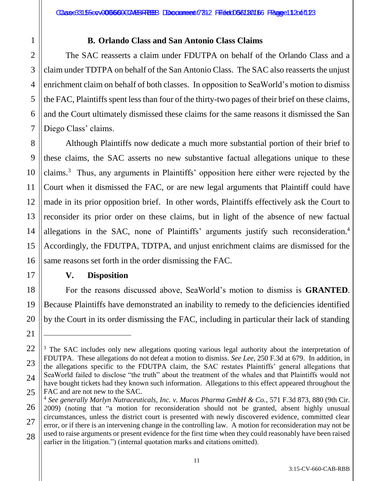1 2 3

4

5

6

7

11

17

18

19

20

21

 $\overline{a}$ 

# **B. Orlando Class and San Antonio Class Claims**

The SAC reasserts a claim under FDUTPA on behalf of the Orlando Class and a claim under TDTPA on behalf of the San Antonio Class. The SAC also reasserts the unjust enrichment claim on behalf of both classes. In opposition to SeaWorld's motion to dismiss the FAC, Plaintiffs spent less than four of the thirty-two pages of their brief on these claims, and the Court ultimately dismissed these claims for the same reasons it dismissed the San Diego Class' claims.

8 9 10 12 13 14 15 16 Although Plaintiffs now dedicate a much more substantial portion of their brief to these claims, the SAC asserts no new substantive factual allegations unique to these claims.<sup>3</sup> Thus, any arguments in Plaintiffs' opposition here either were rejected by the Court when it dismissed the FAC, or are new legal arguments that Plaintiff could have made in its prior opposition brief. In other words, Plaintiffs effectively ask the Court to reconsider its prior order on these claims, but in light of the absence of new factual allegations in the SAC, none of Plaintiffs' arguments justify such reconsideration.<sup>4</sup> Accordingly, the FDUTPA, TDTPA, and unjust enrichment claims are dismissed for the same reasons set forth in the order dismissing the FAC.

# **V. Disposition**

For the reasons discussed above, SeaWorld's motion to dismiss is **GRANTED**. Because Plaintiffs have demonstrated an inability to remedy to the deficiencies identified by the Court in its order dismissing the FAC, including in particular their lack of standing

<sup>22</sup> 23 24 25 <sup>3</sup> The SAC includes only new allegations quoting various legal authority about the interpretation of FDUTPA. These allegations do not defeat a motion to dismiss. *See Lee*, 250 F.3d at 679. In addition, in the allegations specific to the FDUTPA claim, the SAC restates Plaintiffs' general allegations that SeaWorld failed to disclose "the truth" about the treatment of the whales and that Plaintiffs would not have bought tickets had they known such information. Allegations to this effect appeared throughout the FAC and are not new to the SAC.

<sup>26</sup> 27 28 4 *See generally Marlyn Nutraceuticals, Inc. v. Mucos Pharma GmbH & Co.*, 571 F.3d 873, 880 (9th Cir. 2009) (noting that "a motion for reconsideration should not be granted, absent highly unusual circumstances, unless the district court is presented with newly discovered evidence, committed clear error, or if there is an intervening change in the controlling law. A motion for reconsideration may not be used to raise arguments or present evidence for the first time when they could reasonably have been raised earlier in the litigation.") (internal quotation marks and citations omitted).